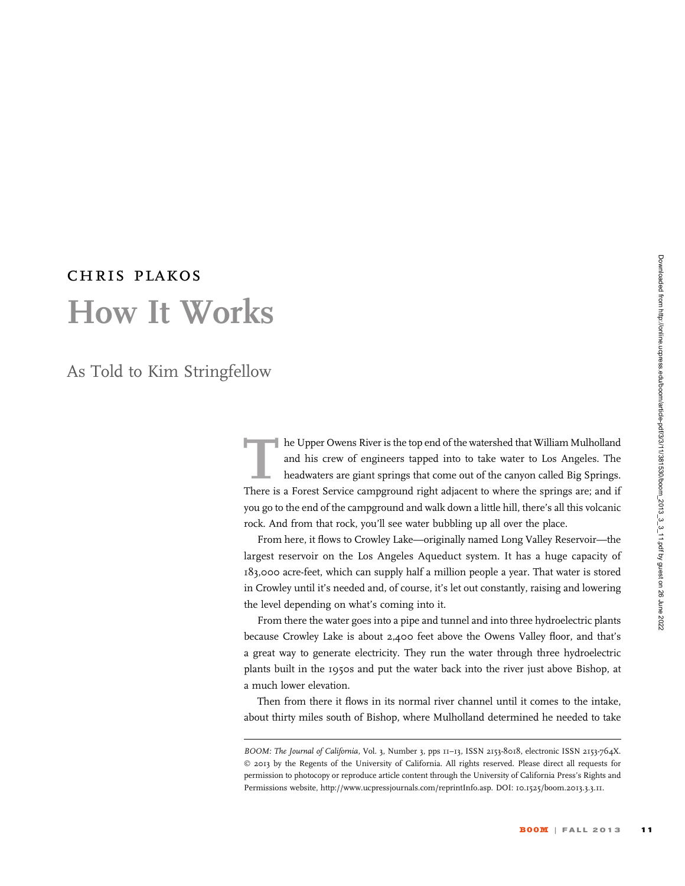## chris plakos How It Works

As Told to Kim Stringfellow

The Upper Owens River is the top end of the watershed that William Mulholland and his crew of engineers tapped into to take water to Los Angeles. The headwaters are giant springs that come out of the canyon called Big Springs. There is a Forest Service campground right adjacent to where the springs are; and if you go to the end of the campground and walk down a little hill, there's all this volcanic rock. And from that rock, you'll see water bubbling up all over the place.

From here, it flows to Crowley Lake—originally named Long Valley Reservoir—the largest reservoir on the Los Angeles Aqueduct system. It has a huge capacity of 183,000 acre-feet, which can supply half a million people a year. That water is stored in Crowley until it's needed and, of course, it's let out constantly, raising and lowering the level depending on what's coming into it.

From there the water goes into a pipe and tunnel and into three hydroelectric plants because Crowley Lake is about 2,400 feet above the Owens Valley floor, and that's a great way to generate electricity. They run the water through three hydroelectric plants built in the 1950s and put the water back into the river just above Bishop, at a much lower elevation.

Then from there it flows in its normal river channel until it comes to the intake, about thirty miles south of Bishop, where Mulholland determined he needed to take

BOOM: The Journal of California, Vol. 3, Number 3, pps 11-13, ISSN 2153-8018, electronic ISSN 2153-764X. © 2013 by the Regents of the University of California. All rights reserved. Please direct all requests for permission to photocopy or reproduce article content through the University of California Press's Rights and Permissions website, http://www.ucpressjournals.com/reprintInfo.asp. DOI: 10.1525/boom.2013.3.3.11.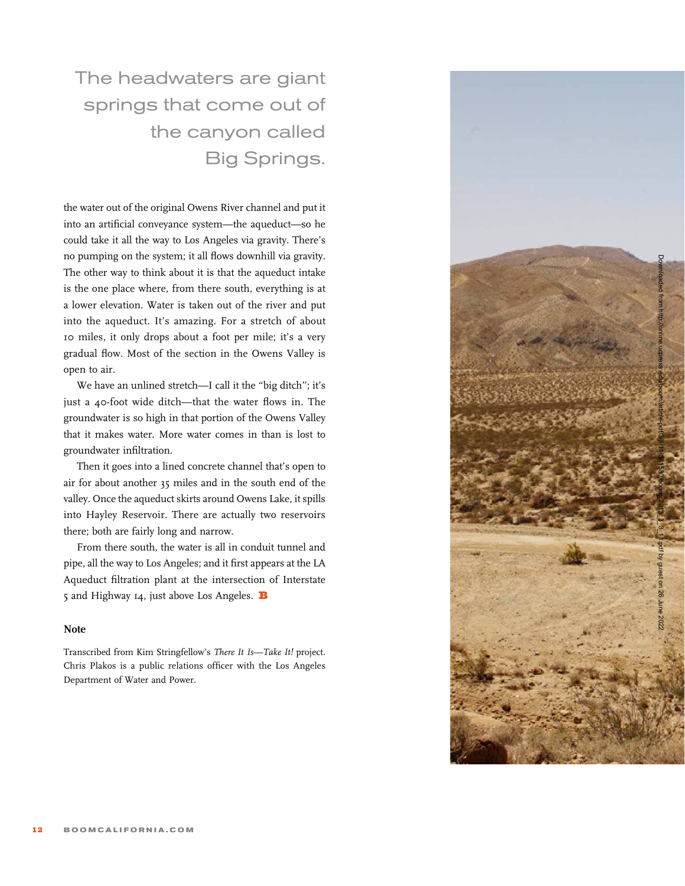The headwaters are giant springs that come out of the canyon called Big Springs.

the water out of the original Owens River channel and put it into an artificial conveyance system—the aqueduct—so he could take it all the way to Los Angeles via gravity. There's no pumping on the system; it all flows downhill via gravity. The other way to think about it is that the aqueduct intake is the one place where, from there south, everything is at a lower elevation. Water is taken out of the river and put into the aqueduct. It's amazing. For a stretch of about 10 miles, it only drops about a foot per mile; it's a very gradual flow. Most of the section in the Owens Valley is open to air.

We have an unlined stretch—I call it the ''big ditch''; it's just a 40-foot wide ditch—that the water flows in. The groundwater is so high in that portion of the Owens Valley that it makes water. More water comes in than is lost to groundwater infiltration.

Then it goes into a lined concrete channel that's open to air for about another 35 miles and in the south end of the valley. Once the aqueduct skirts around Owens Lake, it spills into Hayley Reservoir. There are actually two reservoirs there; both are fairly long and narrow.

From there south, the water is all in conduit tunnel and pipe, all the way to Los Angeles; and it first appears at the LA Aqueduct filtration plant at the intersection of Interstate 5 and Highway 14, just above Los Angeles.  $\, {\bf B} \,$ 

## **Note**

Transcribed from Kim Stringfellow's There It Is—Take It! project. Chris Plakos is a public relations officer with the Los Angeles Department of Water and Power.